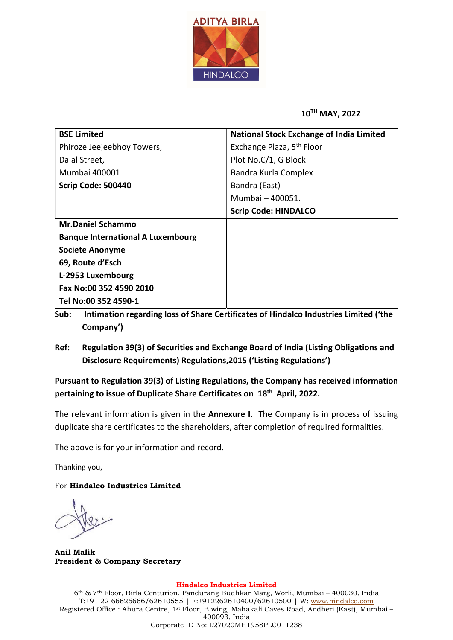

## 10TH MAY, 2022

| <b>BSE Limited</b>                       | <b>National Stock Exchange of India Limited</b> |  |  |
|------------------------------------------|-------------------------------------------------|--|--|
| Phiroze Jeejeebhoy Towers,               | Exchange Plaza, 5 <sup>th</sup> Floor           |  |  |
| Dalal Street,                            | Plot No.C/1, G Block                            |  |  |
| Mumbai 400001                            | Bandra Kurla Complex                            |  |  |
| Scrip Code: 500440                       | Bandra (East)                                   |  |  |
|                                          | Mumbai - 400051.                                |  |  |
|                                          | <b>Scrip Code: HINDALCO</b>                     |  |  |
| <b>Mr.Daniel Schammo</b>                 |                                                 |  |  |
| <b>Banque International A Luxembourg</b> |                                                 |  |  |
| <b>Societe Anonyme</b>                   |                                                 |  |  |
| 69, Route d'Esch                         |                                                 |  |  |
| L-2953 Luxembourg                        |                                                 |  |  |
| Fax No:00 352 4590 2010                  |                                                 |  |  |
| Tel No:00 352 4590-1                     |                                                 |  |  |

- Sub: Intimation regarding loss of Share Certificates of Hindalco Industries Limited ('the Company')
- Ref: Regulation 39(3) of Securities and Exchange Board of India (Listing Obligations and Disclosure Requirements) Regulations,2015 ('Listing Regulations')

Pursuant to Regulation 39(3) of Listing Regulations, the Company has received information pertaining to issue of Duplicate Share Certificates on 18<sup>th</sup> April, 2022.

The relevant information is given in the Annexure I. The Company is in process of issuing duplicate share certificates to the shareholders, after completion of required formalities.

The above is for your information and record.

Thanking you,

For Hindalco Industries Limited

Anil Malik President & Company Secretary

## Hindalco Industries Limited

6th & 7th Floor, Birla Centurion, Pandurang Budhkar Marg, Worli, Mumbai – 400030, India T:+91 22 66626666/62610555 | F:+912262610400/62610500 | W: www.hindalco.com Registered Office : Ahura Centre, 1st Floor, B wing, Mahakali Caves Road, Andheri (East), Mumbai – 400093, India Corporate ID No: L27020MH1958PLC011238